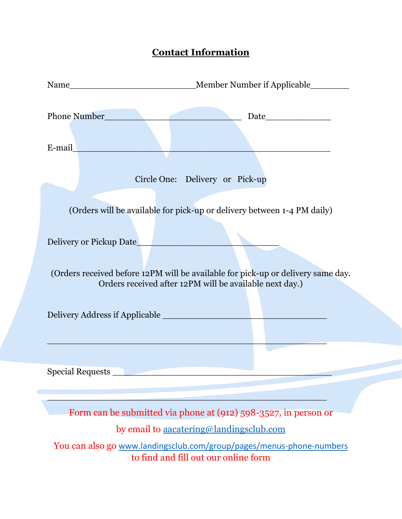# **Contact Information**

| Phone Number<br>E-mail | Date_______________                                                                                                                                                                                                                               |
|------------------------|---------------------------------------------------------------------------------------------------------------------------------------------------------------------------------------------------------------------------------------------------|
|                        | Circle One: Delivery or Pick-up                                                                                                                                                                                                                   |
|                        | (Orders will be available for pick-up or delivery between 1-4 PM daily)<br>Delivery or Pickup Date<br>(Orders received before 12PM will be available for pick-up or delivery same day.<br>Orders received after 12PM will be available next day.) |
|                        |                                                                                                                                                                                                                                                   |
|                        | Form can be submitted via phone at (912) 598-3527, in person or                                                                                                                                                                                   |
|                        | by email to aacatering@landingsclub.com<br>You can also go www.landingsclub.com/group/pages/menus-phone-numbers<br>to find and fill out our online form                                                                                           |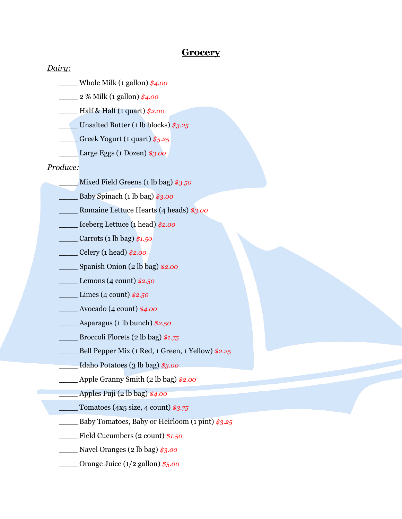# **Grocery**

#### *Dairy:*

\_\_\_\_ Whole Milk (1 gallon) *\$4.00*

\_\_\_\_ 2 % Milk (1 gallon) *\$4.00*

\_\_\_\_ Half & Half (1 quart) *\$2.00*

\_\_\_\_ Unsalted Butter (1 lb blocks) *\$3.25*

\_\_\_\_ Greek Yogurt (1 quart) *\$5.25*

\_\_\_\_ Large Eggs (1 Dozen) *\$3.00*

#### *Produce:*

- \_\_\_\_ Mixed Field Greens (1 lb bag) *\$3.50*
- \_\_\_\_ Baby Spinach (1 lb bag) *\$3.00*
- \_\_\_\_ Romaine Lettuce Hearts (4 heads) *\$3.00*
- \_\_\_\_ Iceberg Lettuce (1 head) *\$2.00*
- \_\_\_\_ Carrots (1 lb bag) *\$1.50*
- \_\_\_\_ Celery (1 head) *\$2.00*
- \_\_\_\_ Spanish Onion (2 lb bag) *\$2.00*
- \_\_\_\_ Lemons (4 count) *\$2.50*
- \_\_\_\_ Limes (4 count) *\$2.50*
- \_\_\_\_ Avocado (4 count) *\$4.00*
- \_\_\_\_ Asparagus (1 lb bunch) *\$2.50*
- \_\_\_\_ Broccoli Florets (2 lb bag) *\$1.75*
- \_\_\_\_ Bell Pepper Mix (1 Red, 1 Green, 1 Yellow) *\$2.25*
- \_\_\_\_ Idaho Potatoes (3 lb bag) *\$3.00*
- \_\_\_\_ Apple Granny Smith (2 lb bag) *\$2.00*

\_\_\_\_ Apples Fuji (2 lb bag) *\$4.00*

- \_\_\_\_ Tomatoes (4x5 size, 4 count) *\$3.75*
- \_\_\_\_ Baby Tomatoes, Baby or Heirloom (1 pint) *\$3.25*
- \_\_\_\_ Field Cucumbers (2 count) *\$1.50*
- \_\_\_\_ Navel Oranges (2 lb bag) *\$3.00*
- \_\_\_\_ Orange Juice (1/2 gallon) *\$5.00*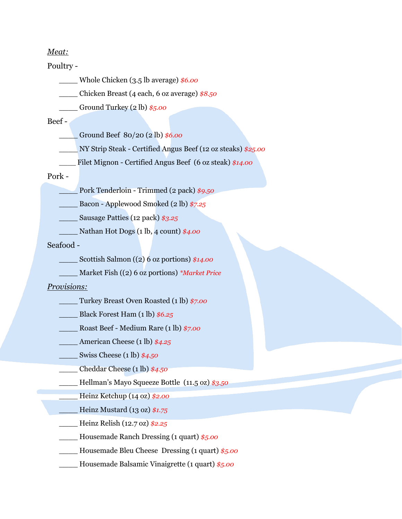### *Meat:*

#### Poultry *-*

\_\_\_\_ Whole Chicken (3.5 lb average) *\$6.00*

\_\_\_\_ Chicken Breast (4 each, 6 oz average) *\$8.50*

\_\_\_\_ Ground Turkey (2 lb) *\$5.00* 

## Beef *-*

\_\_\_\_ Ground Beef 80/20 (2 lb) *\$6.00* 

\_\_\_\_ NY Strip Steak - Certified Angus Beef (12 oz steaks) *\$25.00*

Filet Mignon - Certified Angus Beef (6 oz steak)  $$14.00$ 

#### Pork *-*

\_\_\_\_ Pork Tenderloin - Trimmed (2 pack) *\$9.50*

\_\_\_\_ Bacon - Applewood Smoked (2 lb) *\$7.25*

\_\_\_\_ Sausage Patties (12 pack) *\$3.25*

\_\_\_\_ Nathan Hot Dogs (1 lb, 4 count) *\$4.00*

Seafood *-*

Scottish Salmon ((2) 6 oz portions)  $$14.00$ 

\_\_\_\_ Market Fish ((2) 6 oz portions) *\*Market Price* 

# *Provisions:*

- \_\_\_\_ Turkey Breast Oven Roasted (1 lb) *\$7.00*
- \_\_\_\_ Black Forest Ham (1 lb) *\$6.25*
- \_\_\_\_ Roast Beef Medium Rare (1 lb) *\$7.00*
- \_\_\_\_ American Cheese (1 lb) *\$4.25*
- \_\_\_\_ Swiss Cheese (1 lb) *\$4.50*

\_\_\_\_ Cheddar Cheese (1 lb) *\$4.50* 

\_\_\_\_ Hellman's Mayo Squeeze Bottle (11.5 oz) *\$3.50* 

\_\_\_\_ Heinz Ketchup (14 oz) *\$2.00* 

\_\_\_\_ Heinz Mustard (13 oz) *\$1.75* 

\_\_\_\_ Heinz Relish (12.7 oz) *\$2.25*

\_\_\_\_ Housemade Ranch Dressing (1 quart) *\$5.00* 

\_\_\_\_ Housemade Bleu Cheese Dressing (1 quart) *\$5.00* 

\_\_\_\_ Housemade Balsamic Vinaigrette (1 quart) *\$5.00*